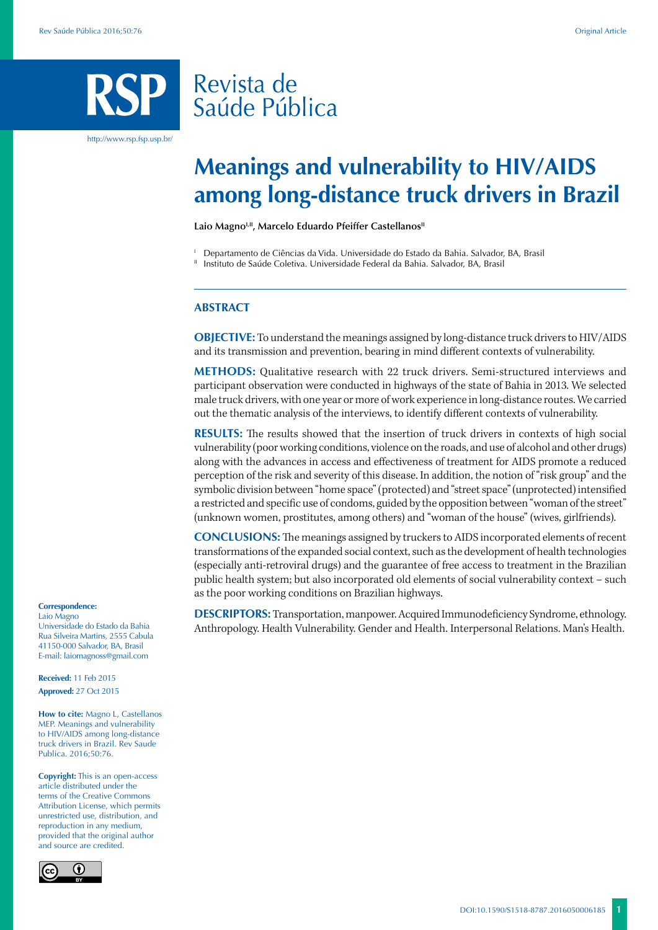# Revista de Saúde Pública

http://www.rsp.fsp.usp.br/

# **Meanings and vulnerability to HIV/AIDS among long-distance truck drivers in Brazil**

Laio Magno<sup>I, II</sup>, Marcelo Eduardo Pfeiffer Castellanos<sup>II</sup>

- <sup>1</sup> Departamento de Ciências da Vida. Universidade do Estado da Bahia. Salvador, BA, Brasil
- II Instituto de Saúde Coletiva. Universidade Federal da Bahia. Salvador, BA, Brasil

### **ABSTRACT**

**OBJECTIVE:** To understand the meanings assigned by long-distance truck drivers to HIV/AIDS and its transmission and prevention, bearing in mind different contexts of vulnerability.

**METHODS:** Qualitative research with 22 truck drivers. Semi-structured interviews and participant observation were conducted in highways of the state of Bahia in 2013. We selected male truck drivers, with one year or more of work experience in long-distance routes. We carried out the thematic analysis of the interviews, to identify different contexts of vulnerability.

**RESULTS:** The results showed that the insertion of truck drivers in contexts of high social vulnerability (poor working conditions, violence on the roads, and use of alcohol and other drugs) along with the advances in access and effectiveness of treatment for AIDS promote a reduced perception of the risk and severity of this disease. In addition, the notion of "risk group" and the symbolic division between "home space" (protected) and "street space" (unprotected) intensified a restricted and specific use of condoms, guided by the opposition between "woman of the street" (unknown women, prostitutes, among others) and "woman of the house" (wives, girlfriends).

**CONCLUSIONS:** The meanings assigned by truckers to AIDS incorporated elements of recent transformations of the expanded social context, such as the development of health technologies (especially anti-retroviral drugs) and the guarantee of free access to treatment in the Brazilian public health system; but also incorporated old elements of social vulnerability context – such as the poor working conditions on Brazilian highways.

**DESCRIPTORS:** Transportation, manpower. Acquired Immunodeficiency Syndrome, ethnology. Anthropology. Health Vulnerability. Gender and Health. Interpersonal Relations. Man's Health.

#### **Correspondence:** Laio Magno

Universidade do Estado da Bahia Rua Silveira Martins, 2555 Cabula 41150-000 Salvador, BA, Brasil E-mail: laiomagnoss@gmail.com

**Received:** 11 Feb 2015 **Approved:** 27 Oct 2015

**How to cite:** Magno L, Castellanos MEP. Meanings and vulnerability to HIV/AIDS among long-distance truck drivers in Brazil. Rev Saude Publica. 2016;50:76.

**Copyright:** This is an open-access article distributed under the terms of the Creative Commons Attribution License, which permits unrestricted use, distribution, and reproduction in any medium, provided that the original author and source are credited.

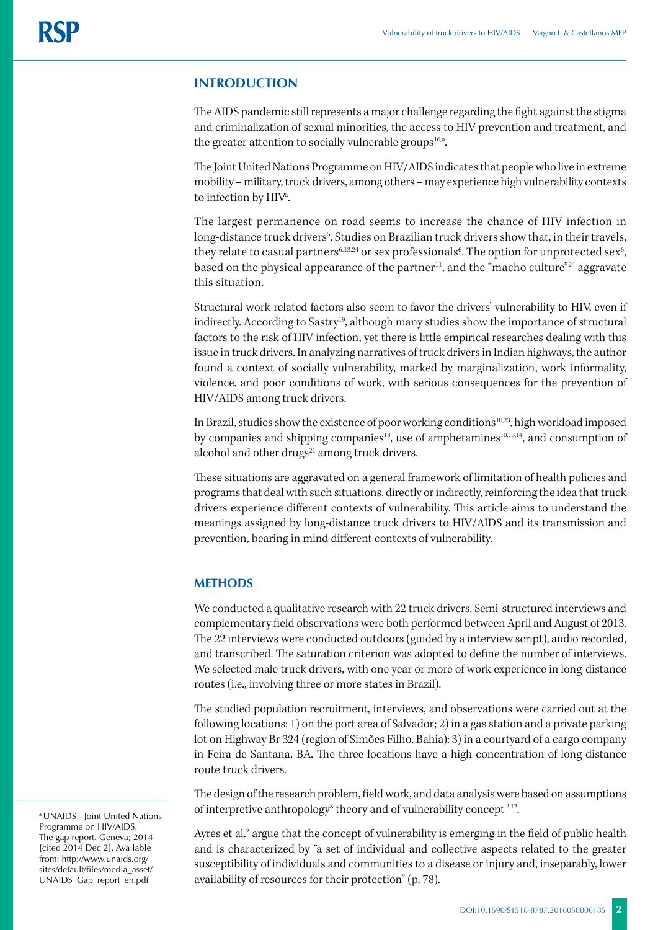# **INTRODUCTION**

The AIDS pandemic still represents a major challenge regarding the fight against the stigma and criminalization of sexual minorities, the access to HIV prevention and treatment, and the greater attention to socially vulnerable groups<sup>16,a</sup>.

The Joint United Nations Programme on HIV/AIDS indicates that people who live in extreme mobility – military, truck drivers, among others – may experience high vulnerability contexts to infection by  $H*IV*<sup>a</sup>$ . .

The largest permanence on road seems to increase the chance of HIV infection in long-distance truck drivers<sup>5</sup>. Studies on Brazilian truck drivers show that, in their travels, they relate to casual partners $^{6,13,24}$  or sex professionals $^{6}$ . The option for unprotected sex $^{6},$ based on the physical appearance of the partner<sup>11</sup>, and the "macho culture"<sup>24</sup> aggravate this situation.

Structural work-related factors also seem to favor the drivers' vulnerability to HIV, even if indirectly. According to Sastry<sup>19</sup>, although many studies show the importance of structural factors to the risk of HIV infection, yet there is little empirical researches dealing with this issue in truck drivers. In analyzing narratives of truck drivers in Indian highways, the author found a context of socially vulnerability, marked by marginalization, work informality, violence, and poor conditions of work, with serious consequences for the prevention of HIV/AIDS among truck drivers.

In Brazil, studies show the existence of poor working conditions<sup>10,23</sup>, high workload imposed by companies and shipping companies<sup>18</sup>, use of amphetamines<sup>10,13,14</sup>, and consumption of alcohol and other drugs<sup>21</sup> among truck drivers.

These situations are aggravated on a general framework of limitation of health policies and programs that deal with such situations, directly or indirectly, reinforcing the idea that truck drivers experience different contexts of vulnerability. This article aims to understand the meanings assigned by long-distance truck drivers to HIV/AIDS and its transmission and prevention, bearing in mind different contexts of vulnerability.

#### **METHODS**

We conducted a qualitative research with 22 truck drivers. Semi-structured interviews and complementary field observations were both performed between April and August of 2013. The 22 interviews were conducted outdoors (guided by a interview script), audio recorded, and transcribed. The saturation criterion was adopted to define the number of interviews. We selected male truck drivers, with one year or more of work experience in long-distance routes (i.e., involving three or more states in Brazil).

The studied population recruitment, interviews, and observations were carried out at the following locations: 1) on the port area of Salvador; 2) in a gas station and a private parking lot on Highway Br 324 (region of Simões Filho, Bahia); 3) in a courtyard of a cargo company in Feira de Santana, BA. The three locations have a high concentration of long-distance route truck drivers.

The design of the research problem, field work, and data analysis were based on assumptions of interpretive anthropology<sup>8</sup> theory and of vulnerability concept<sup>2,12</sup>.

Ayres et al.<sup>2</sup> argue that the concept of vulnerability is emerging in the field of public health and is characterized by "a set of individual and collective aspects related to the greater susceptibility of individuals and communities to a disease or injury and, inseparably, lower availability of resources for their protection" (p. 78).

<sup>a</sup> UNAIDS - Joint United Nations Programme on HIV/AIDS. The gap report. Geneva; 2014 [cited 2014 Dec 2]. Available from: http://www.unaids.org/ sites/default/files/media\_asset/ UNAIDS\_Gap\_report\_en.pdf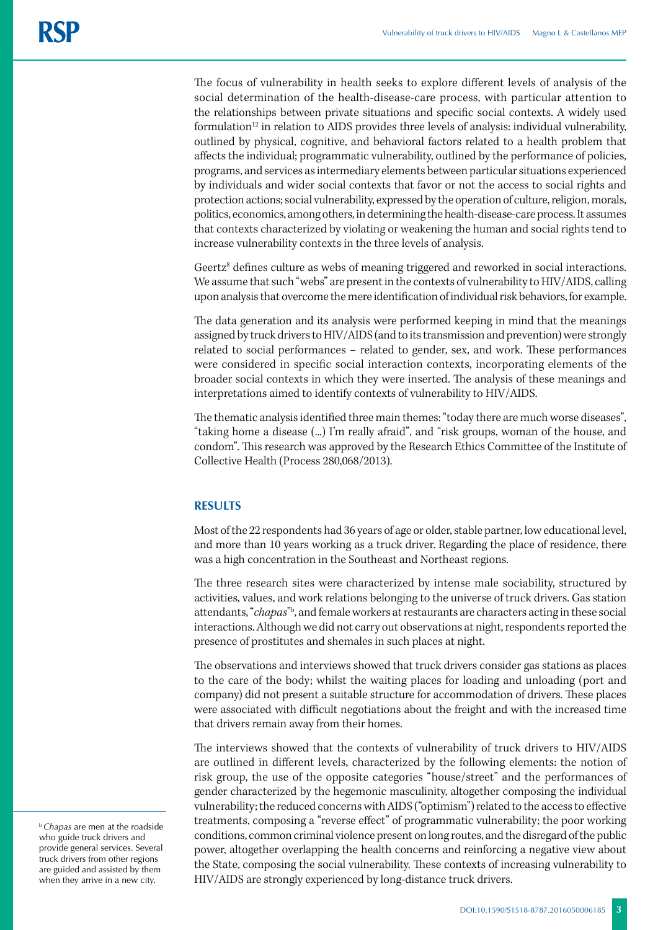The focus of vulnerability in health seeks to explore different levels of analysis of the social determination of the health-disease-care process, with particular attention to the relationships between private situations and specific social contexts. A widely used formulation<sup>12</sup> in relation to AIDS provides three levels of analysis: individual vulnerability, outlined by physical, cognitive, and behavioral factors related to a health problem that affects the individual; programmatic vulnerability, outlined by the performance of policies, programs, and services as intermediary elements between particular situations experienced by individuals and wider social contexts that favor or not the access to social rights and protection actions; social vulnerability, expressed by the operation of culture, religion, morals, politics, economics, among others, in determining the health-disease-care process. It assumes that contexts characterized by violating or weakening the human and social rights tend to increase vulnerability contexts in the three levels of analysis.

Geertz<sup>8</sup> defines culture as webs of meaning triggered and reworked in social interactions. We assume that such "webs" are present in the contexts of vulnerability to HIV/AIDS, calling upon analysis that overcome the mere identification of individual risk behaviors, for example.

The data generation and its analysis were performed keeping in mind that the meanings assigned by truck drivers to HIV/AIDS (and to its transmission and prevention) were strongly related to social performances – related to gender, sex, and work. These performances were considered in specific social interaction contexts, incorporating elements of the broader social contexts in which they were inserted. The analysis of these meanings and interpretations aimed to identify contexts of vulnerability to HIV/AIDS.

The thematic analysis identified three main themes: "today there are much worse diseases", "taking home a disease (...) I'm really afraid", and "risk groups, woman of the house, and condom". This research was approved by the Research Ethics Committee of the Institute of Collective Health (Process 280,068/2013).

### **RESULTS**

Most of the 22 respondents had 36 years of age or older, stable partner, low educational level, and more than 10 years working as a truck driver. Regarding the place of residence, there was a high concentration in the Southeast and Northeast regions.

The three research sites were characterized by intense male sociability, structured by activities, values, and work relations belonging to the universe of truck drivers. Gas station attendants, "*chapas*"<sup>b</sup>, and female workers at restaurants are characters acting in these social interactions. Although we did not carry out observations at night, respondents reported the presence of prostitutes and shemales in such places at night.

The observations and interviews showed that truck drivers consider gas stations as places to the care of the body; whilst the waiting places for loading and unloading (port and company) did not present a suitable structure for accommodation of drivers. These places were associated with difficult negotiations about the freight and with the increased time that drivers remain away from their homes.

The interviews showed that the contexts of vulnerability of truck drivers to HIV/AIDS are outlined in different levels, characterized by the following elements: the notion of risk group, the use of the opposite categories "house/street" and the performances of gender characterized by the hegemonic masculinity, altogether composing the individual vulnerability; the reduced concerns with AIDS ("optimism") related to the access to effective treatments, composing a "reverse effect" of programmatic vulnerability; the poor working conditions, common criminal violence present on long routes, and the disregard of the public power, altogether overlapping the health concerns and reinforcing a negative view about the State, composing the social vulnerability. These contexts of increasing vulnerability to HIV/AIDS are strongly experienced by long-distance truck drivers.

<sup>b</sup>*Chapas* are men at the roadside who guide truck drivers and provide general services. Several truck drivers from other regions are guided and assisted by them when they arrive in a new city.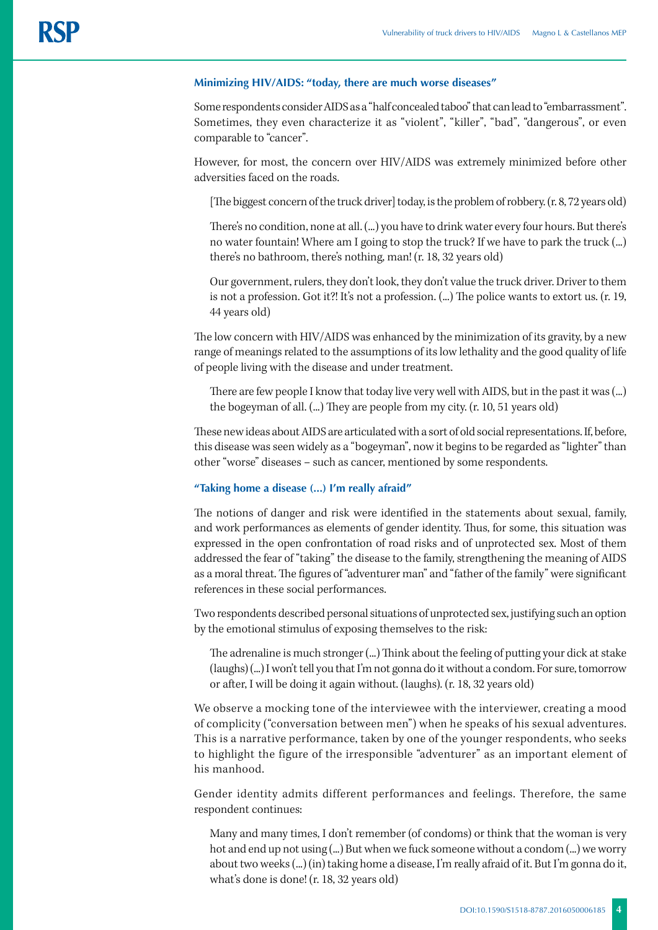#### **Minimizing HIV/AIDS: "today, there are much worse diseases"**

Some respondents consider AIDS as a "half concealed taboo" that can lead to "embarrassment". Sometimes, they even characterize it as "violent", "killer", "bad", "dangerous", or even comparable to "cancer".

However, for most, the concern over HIV/AIDS was extremely minimized before other adversities faced on the roads.

[The biggest concern of the truck driver] today, is the problem of robbery. (r. 8, 72 years old)

There's no condition, none at all. (...) you have to drink water every four hours. But there's no water fountain! Where am I going to stop the truck? If we have to park the truck (...) there's no bathroom, there's nothing, man! (r. 18, 32 years old)

Our government, rulers, they don't look, they don't value the truck driver. Driver to them is not a profession. Got it?! It's not a profession. (...) The police wants to extort us. (r. 19, 44 years old)

The low concern with HIV/AIDS was enhanced by the minimization of its gravity, by a new range of meanings related to the assumptions of its low lethality and the good quality of life of people living with the disease and under treatment.

There are few people I know that today live very well with AIDS, but in the past it was (...) the bogeyman of all. (...) They are people from my city. (r. 10, 51 years old)

These new ideas about AIDS are articulated with a sort of old social representations. If, before, this disease was seen widely as a "bogeyman", now it begins to be regarded as "lighter" than other "worse" diseases – such as cancer, mentioned by some respondents.

#### **"Taking home a disease (...) I'm really afraid"**

The notions of danger and risk were identified in the statements about sexual, family, and work performances as elements of gender identity. Thus, for some, this situation was expressed in the open confrontation of road risks and of unprotected sex. Most of them addressed the fear of "taking" the disease to the family, strengthening the meaning of AIDS as a moral threat. The figures of "adventurer man" and "father of the family" were significant references in these social performances.

Two respondents described personal situations of unprotected sex, justifying such an option by the emotional stimulus of exposing themselves to the risk:

The adrenaline is much stronger (...) Think about the feeling of putting your dick at stake (laughs) (...) I won't tell you that I'm not gonna do it without a condom. For sure, tomorrow or after, I will be doing it again without. (laughs). (r. 18, 32 years old)

We observe a mocking tone of the interviewee with the interviewer, creating a mood of complicity ("conversation between men") when he speaks of his sexual adventures. This is a narrative performance, taken by one of the younger respondents, who seeks to highlight the figure of the irresponsible "adventurer" as an important element of his manhood.

Gender identity admits different performances and feelings. Therefore, the same respondent continues:

Many and many times, I don't remember (of condoms) or think that the woman is very hot and end up not using (...) But when we fuck someone without a condom (...) we worry about two weeks (...) (in) taking home a disease, I'm really afraid of it. But I'm gonna do it, what's done is done! (r. 18, 32 years old)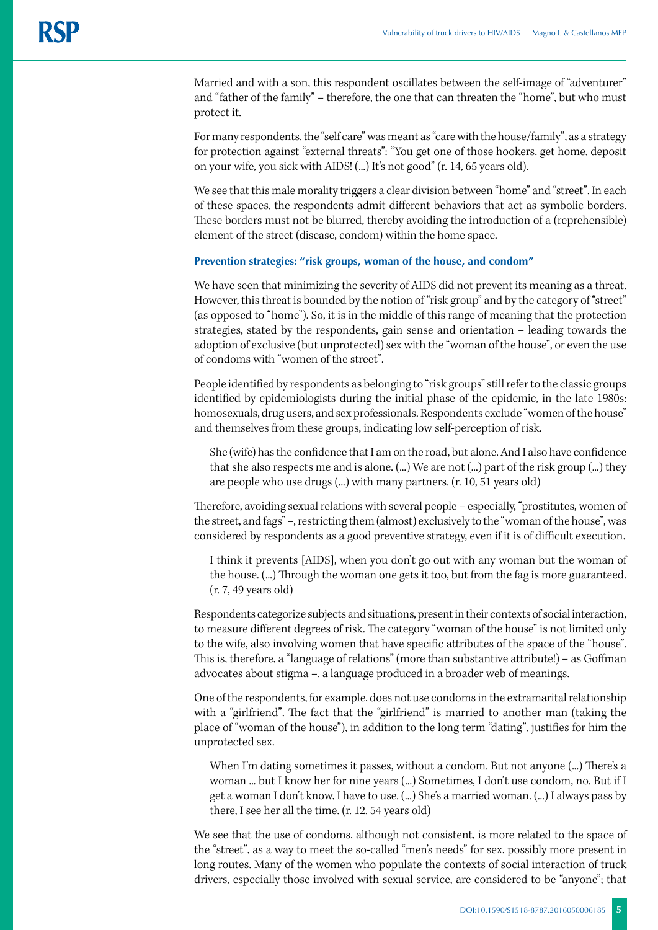Married and with a son, this respondent oscillates between the self-image of "adventurer" and "father of the family" – therefore, the one that can threaten the "home", but who must protect it.

For many respondents, the "self care" was meant as "care with the house/family", as a strategy for protection against "external threats": "You get one of those hookers, get home, deposit on your wife, you sick with AIDS! (...) It's not good" (r. 14, 65 years old).

We see that this male morality triggers a clear division between "home" and "street". In each of these spaces, the respondents admit different behaviors that act as symbolic borders. These borders must not be blurred, thereby avoiding the introduction of a (reprehensible) element of the street (disease, condom) within the home space.

# **Prevention strategies: "risk groups, woman of the house, and condom"**

We have seen that minimizing the severity of AIDS did not prevent its meaning as a threat. However, this threat is bounded by the notion of "risk group" and by the category of "street" (as opposed to "home"). So, it is in the middle of this range of meaning that the protection strategies, stated by the respondents, gain sense and orientation – leading towards the adoption of exclusive (but unprotected) sex with the "woman of the house", or even the use of condoms with "women of the street".

People identified by respondents as belonging to "risk groups" still refer to the classic groups identified by epidemiologists during the initial phase of the epidemic, in the late 1980s: homosexuals, drug users, and sex professionals. Respondents exclude "women of the house" and themselves from these groups, indicating low self-perception of risk.

She (wife) has the confidence that I am on the road, but alone. And I also have confidence that she also respects me and is alone. (...) We are not (...) part of the risk group (...) they are people who use drugs (...) with many partners. (r. 10, 51 years old)

Therefore, avoiding sexual relations with several people – especially, "prostitutes, women of the street, and fags" –, restricting them (almost) exclusively to the "woman of the house", was considered by respondents as a good preventive strategy, even if it is of difficult execution.

I think it prevents [AIDS], when you don't go out with any woman but the woman of the house. (...) Through the woman one gets it too, but from the fag is more guaranteed. (r. 7, 49 years old)

Respondents categorize subjects and situations, present in their contexts of social interaction, to measure different degrees of risk. The category "woman of the house" is not limited only to the wife, also involving women that have specific attributes of the space of the "house". This is, therefore, a "language of relations" (more than substantive attribute!) – as Goffman advocates about stigma –, a language produced in a broader web of meanings.

One of the respondents, for example, does not use condoms in the extramarital relationship with a "girlfriend". The fact that the "girlfriend" is married to another man (taking the place of "woman of the house"), in addition to the long term "dating", justifies for him the unprotected sex.

When I'm dating sometimes it passes, without a condom. But not anyone (...) There's a woman ... but I know her for nine years (...) Sometimes, I don't use condom, no. But if I get a woman I don't know, I have to use. (...) She's a married woman. (...) I always pass by there, I see her all the time. (r. 12, 54 years old)

We see that the use of condoms, although not consistent, is more related to the space of the "street", as a way to meet the so-called "men's needs" for sex, possibly more present in long routes. Many of the women who populate the contexts of social interaction of truck drivers, especially those involved with sexual service, are considered to be "anyone"; that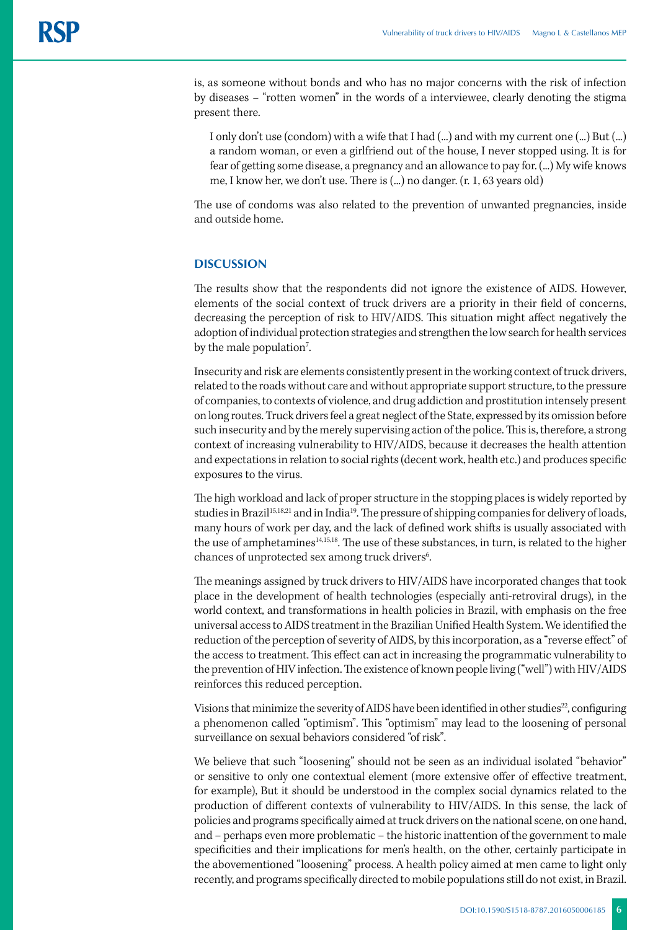is, as someone without bonds and who has no major concerns with the risk of infection by diseases – "rotten women" in the words of a interviewee, clearly denoting the stigma present there.

I only don't use (condom) with a wife that I had (...) and with my current one (...) But (...) a random woman, or even a girlfriend out of the house, I never stopped using. It is for fear of getting some disease, a pregnancy and an allowance to pay for. (...) My wife knows me, I know her, we don't use. There is (...) no danger. (r. 1, 63 years old)

The use of condoms was also related to the prevention of unwanted pregnancies, inside and outside home.

# **DISCUSSION**

The results show that the respondents did not ignore the existence of AIDS. However, elements of the social context of truck drivers are a priority in their field of concerns, decreasing the perception of risk to HIV/AIDS. This situation might affect negatively the adoption of individual protection strategies and strengthen the low search for health services by the male population<sup>7</sup>. .

Insecurity and risk are elements consistently present in the working context of truck drivers, related to the roads without care and without appropriate support structure, to the pressure of companies, to contexts of violence, and drug addiction and prostitution intensely present on long routes. Truck drivers feel a great neglect of the State, expressed by its omission before such insecurity and by the merely supervising action of the police. This is, therefore, a strong context of increasing vulnerability to HIV/AIDS, because it decreases the health attention and expectations in relation to social rights (decent work, health etc.) and produces specific exposures to the virus.

The high workload and lack of proper structure in the stopping places is widely reported by studies in Brazil<sup>15,18,21</sup> and in India<sup>19</sup>. The pressure of shipping companies for delivery of loads, many hours of work per day, and the lack of defined work shifts is usually associated with the use of amphetamines<sup>14,15,18</sup>. The use of these substances, in turn, is related to the higher chances of unprotected sex among truck drivers<sup>6</sup>. .

The meanings assigned by truck drivers to HIV/AIDS have incorporated changes that took place in the development of health technologies (especially anti-retroviral drugs), in the world context, and transformations in health policies in Brazil, with emphasis on the free universal access to AIDS treatment in the Brazilian Unified Health System. We identified the reduction of the perception of severity of AIDS, by this incorporation, as a "reverse effect" of the access to treatment. This effect can act in increasing the programmatic vulnerability to the prevention of HIV infection. The existence of known people living ("well") with HIV/AIDS reinforces this reduced perception.

Visions that minimize the severity of AIDS have been identified in other studies $^{22}$ , configuring a phenomenon called "optimism". This "optimism" may lead to the loosening of personal surveillance on sexual behaviors considered "of risk".

We believe that such "loosening" should not be seen as an individual isolated "behavior" or sensitive to only one contextual element (more extensive offer of effective treatment, for example), But it should be understood in the complex social dynamics related to the production of different contexts of vulnerability to HIV/AIDS. In this sense, the lack of policies and programs specifically aimed at truck drivers on the national scene, on one hand, and – perhaps even more problematic – the historic inattention of the government to male specificities and their implications for men's health, on the other, certainly participate in the abovementioned "loosening" process. A health policy aimed at men came to light only recently, and programs specifically directed to mobile populations still do not exist, in Brazil.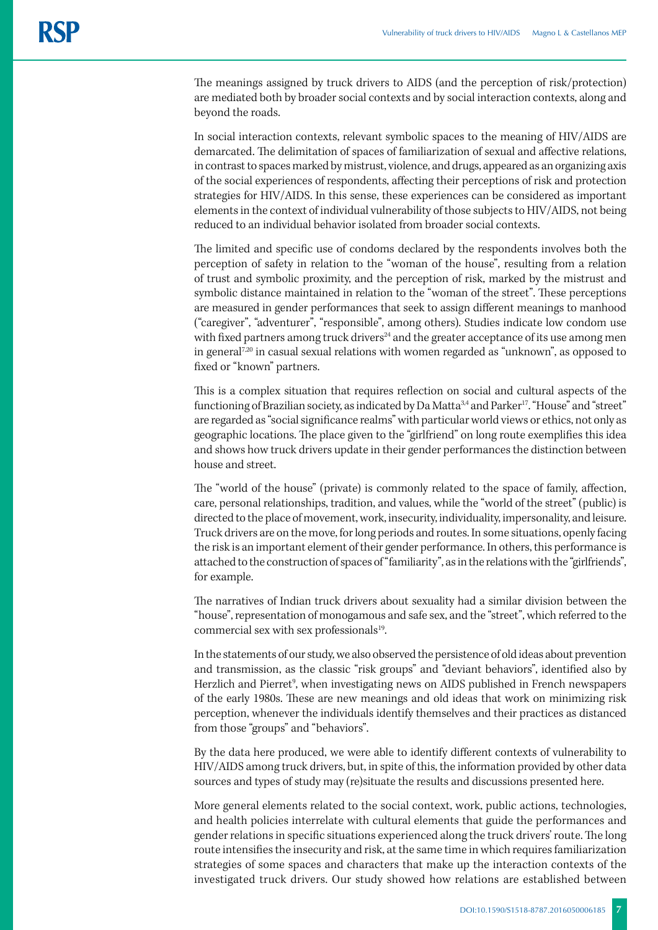The meanings assigned by truck drivers to AIDS (and the perception of risk/protection) are mediated both by broader social contexts and by social interaction contexts, along and beyond the roads.

In social interaction contexts, relevant symbolic spaces to the meaning of HIV/AIDS are demarcated. The delimitation of spaces of familiarization of sexual and affective relations, in contrast to spaces marked by mistrust, violence, and drugs, appeared as an organizing axis of the social experiences of respondents, affecting their perceptions of risk and protection strategies for HIV/AIDS. In this sense, these experiences can be considered as important elements in the context of individual vulnerability of those subjects to HIV/AIDS, not being reduced to an individual behavior isolated from broader social contexts.

The limited and specific use of condoms declared by the respondents involves both the perception of safety in relation to the "woman of the house", resulting from a relation of trust and symbolic proximity, and the perception of risk, marked by the mistrust and symbolic distance maintained in relation to the "woman of the street". These perceptions are measured in gender performances that seek to assign different meanings to manhood ("caregiver", "adventurer", "responsible", among others). Studies indicate low condom use with fixed partners among truck drivers<sup>24</sup> and the greater acceptance of its use among men in general<sup>7,20</sup> in casual sexual relations with women regarded as "unknown", as opposed to fixed or "known" partners.

This is a complex situation that requires reflection on social and cultural aspects of the functioning of Brazilian society, as indicated by Da Matta<sup>3,4</sup> and Parker<sup>17</sup>. "House" and "street" are regarded as "social significance realms" with particular world views or ethics, not only as geographic locations. The place given to the "girlfriend" on long route exemplifies this idea and shows how truck drivers update in their gender performances the distinction between house and street.

The "world of the house" (private) is commonly related to the space of family, affection, care, personal relationships, tradition, and values, while the "world of the street" (public) is directed to the place of movement, work, insecurity, individuality, impersonality, and leisure. Truck drivers are on the move, for long periods and routes. In some situations, openly facing the risk is an important element of their gender performance. In others, this performance is attached to the construction of spaces of "familiarity", as in the relations with the "girlfriends", for example.

The narratives of Indian truck drivers about sexuality had a similar division between the "house", representation of monogamous and safe sex, and the "street", which referred to the commercial sex with sex professionals<sup>19</sup>.

In the statements of our study, we also observed the persistence of old ideas about prevention and transmission, as the classic "risk groups" and "deviant behaviors", identified also by Herzlich and Pierret<sup>9</sup>, when investigating news on AIDS published in French newspapers of the early 1980s. These are new meanings and old ideas that work on minimizing risk perception, whenever the individuals identify themselves and their practices as distanced from those "groups" and "behaviors".

By the data here produced, we were able to identify different contexts of vulnerability to HIV/AIDS among truck drivers, but, in spite of this, the information provided by other data sources and types of study may (re)situate the results and discussions presented here.

More general elements related to the social context, work, public actions, technologies, and health policies interrelate with cultural elements that guide the performances and gender relations in specific situations experienced along the truck drivers' route. The long route intensifies the insecurity and risk, at the same time in which requires familiarization strategies of some spaces and characters that make up the interaction contexts of the investigated truck drivers. Our study showed how relations are established between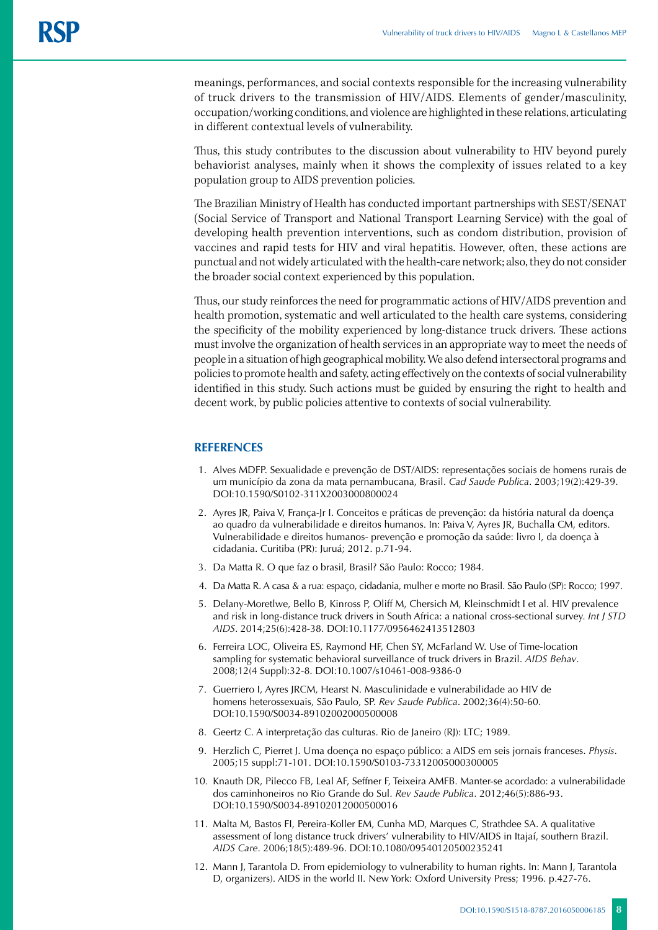meanings, performances, and social contexts responsible for the increasing vulnerability of truck drivers to the transmission of HIV/AIDS. Elements of gender/masculinity, occupation/working conditions, and violence are highlighted in these relations, articulating in different contextual levels of vulnerability.

Thus, this study contributes to the discussion about vulnerability to HIV beyond purely behaviorist analyses, mainly when it shows the complexity of issues related to a key population group to AIDS prevention policies.

The Brazilian Ministry of Health has conducted important partnerships with SEST/SENAT (Social Service of Transport and National Transport Learning Service) with the goal of developing health prevention interventions, such as condom distribution, provision of vaccines and rapid tests for HIV and viral hepatitis. However, often, these actions are punctual and not widely articulated with the health-care network; also, they do not consider the broader social context experienced by this population.

Thus, our study reinforces the need for programmatic actions of HIV/AIDS prevention and health promotion, systematic and well articulated to the health care systems, considering the specificity of the mobility experienced by long-distance truck drivers. These actions must involve the organization of health services in an appropriate way to meet the needs of people in a situation of high geographical mobility. We also defend intersectoral programs and policies to promote health and safety, acting effectively on the contexts of social vulnerability identified in this study. Such actions must be guided by ensuring the right to health and decent work, by public policies attentive to contexts of social vulnerability.

#### **REFERENCES**

- 1. Alves MDFP. Sexualidade e prevenção de DST/AIDS: representações sociais de homens rurais de um município da zona da mata pernambucana, Brasil. *Cad Saude Publica*. 2003;19(2):429-39. DOI:10.1590/S0102-311X2003000800024
- 2. Ayres JR, Paiva V, França-Jr I. Conceitos e práticas de prevenção: da história natural da doença ao quadro da vulnerabilidade e direitos humanos. In: Paiva V, Ayres JR, Buchalla CM, editors. Vulnerabilidade e direitos humanos- prevenção e promoção da saúde: livro I, da doença à cidadania. Curitiba (PR): Juruá; 2012. p.71-94.
- 3. Da Matta R. O que faz o brasil, Brasil? São Paulo: Rocco; 1984.
- 4. Da Matta R. A casa & a rua: espaço, cidadania, mulher e morte no Brasil. São Paulo (SP): Rocco; 1997.
- 5. Delany-Moretlwe, Bello B, Kinross P, Oliff M, Chersich M, Kleinschmidt I et al. HIV prevalence and risk in long-distance truck drivers in South Africa: a national cross-sectional survey. *Int J STD AIDS*. 2014;25(6):428-38. DOI:10.1177/0956462413512803
- 6. Ferreira LOC, Oliveira ES, Raymond HF, Chen SY, McFarland W. Use of Time-location sampling for systematic behavioral surveillance of truck drivers in Brazil. *AIDS Behav*. 2008;12(4 Suppl):32-8. DOI:10.1007/s10461-008-9386-0
- 7. Guerriero I, Ayres JRCM, Hearst N. Masculinidade e vulnerabilidade ao HIV de homens heterossexuais, São Paulo, SP. *Rev Saude Publica*. 2002;36(4):50-60. DOI:10.1590/S0034-89102002000500008
- 8. Geertz C. A interpretação das culturas. Rio de Janeiro (RJ): LTC; 1989.
- 9. Herzlich C, Pierret J. Uma doença no espaço público: a AIDS em seis jornais franceses. *Physis*. 2005;15 suppl:71-101. DOI:10.1590/S0103-73312005000300005
- 10. Knauth DR, Pilecco FB, Leal AF, Seffner F, Teixeira AMFB. Manter-se acordado: a vulnerabilidade dos caminhoneiros no Rio Grande do Sul. *Rev Saude Publica*. 2012;46(5):886-93. DOI:10.1590/S0034-89102012000500016
- 11. Malta M, Bastos FI, Pereira-Koller EM, Cunha MD, Marques C, Strathdee SA. A qualitative assessment of long distance truck drivers' vulnerability to HIV/AIDS in Itajaí, southern Brazil. *AIDS Care*. 2006;18(5):489-96. DOI:10.1080/09540120500235241
- 12. Mann J, Tarantola D. From epidemiology to vulnerability to human rights. In: Mann J, Tarantola D, organizers). AIDS in the world II. New York: Oxford University Press; 1996. p.427-76.